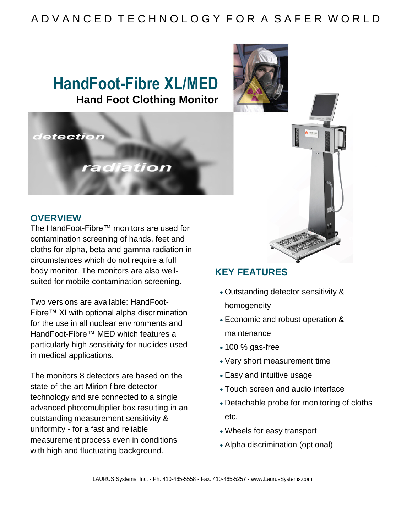### A D V A N C E D T E C H N O L O G Y F O R A S A F E R W O R L D

## **HandFoot-Fibre XL/MED Hand Foot Clothing Monitor**



#### **OVERVIEW**

The HandFoot-Fibre™ monitors are used for contamination screening of hands, feet and cloths for alpha, beta and gamma radiation in circumstances which do not require a full body monitor. The monitors are also wellsuited for mobile contamination screening.

Two versions are available: HandFoot-Fibre™ XLwith optional alpha discrimination for the use in all nuclear environments and HandFoot-Fibre™ MED which features a particularly high sensitivity for nuclides used in medical applications.

The monitors 8 detectors are based on the state-of-the-art Mirion fibre detector technology and are connected to a single advanced photomultiplier box resulting in an outstanding measurement sensitivity & uniformity - for a fast and reliable measurement process even in conditions with high and fluctuating background.



### **KEY FEATURES**

- Outstanding detector sensitivity & homogeneity
- Economic and robust operation & maintenance
- 100 % gas-free
- Very short measurement time
- Easy and intuitive usage
- Touch screen and audio interface
- Detachable probe for monitoring of cloths etc.
- Wheels for easy transport
- Alpha discrimination (optional)